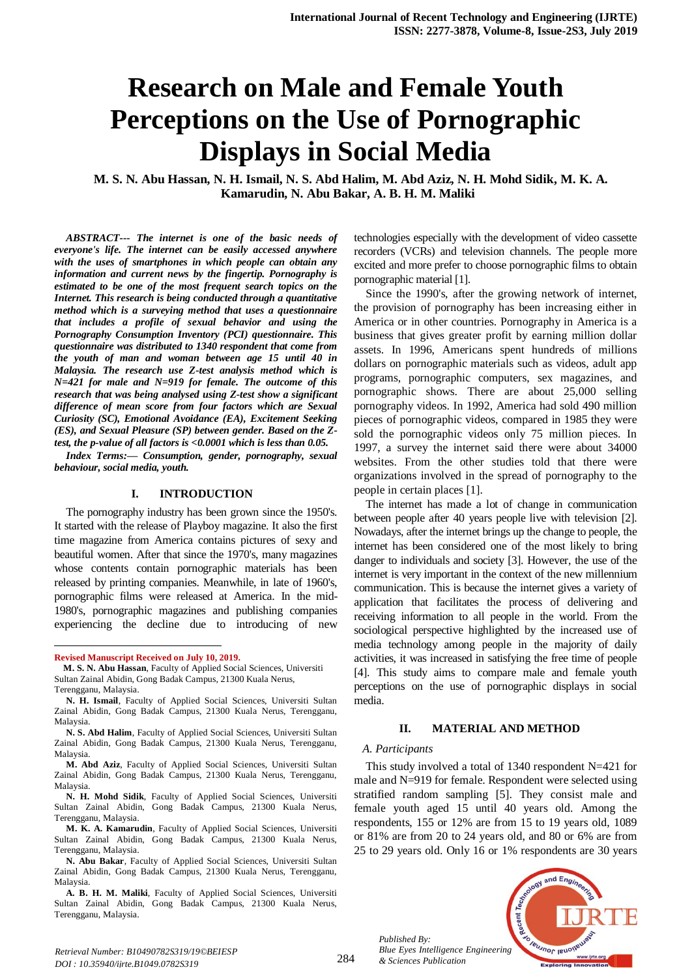# **Research on Male and Female Youth Perceptions on the Use of Pornographic Displays in Social Media**

**M. S. N. Abu Hassan, N. H. Ismail, N. S. Abd Halim, M. Abd Aziz, N. H. Mohd Sidik, M. K. A. Kamarudin, N. Abu Bakar, A. B. H. M. Maliki**

*ABSTRACT--- The internet is one of the basic needs of everyone's life. The internet can be easily accessed anywhere with the uses of smartphones in which people can obtain any information and current news by the fingertip. Pornography is estimated to be one of the most frequent search topics on the Internet. This research is being conducted through a quantitative method which is a surveying method that uses a questionnaire that includes a profile of sexual behavior and using the Pornography Consumption Inventory (PCI) questionnaire. This questionnaire was distributed to 1340 respondent that come from the youth of man and woman between age 15 until 40 in Malaysia. The research use Z-test analysis method which is N=421 for male and N=919 for female. The outcome of this research that was being analysed using Z-test show a significant difference of mean score from four factors which are Sexual Curiosity (SC), Emotional Avoidance (EA), Excitement Seeking (ES), and Sexual Pleasure (SP) between gender. Based on the Ztest, the p-value of all factors is <0.0001 which is less than 0.05.*

*Index Terms:— Consumption, gender, pornography, sexual behaviour, social media, youth.*

#### **I. INTRODUCTION**

The pornography industry has been grown since the 1950's. It started with the release of Playboy magazine. It also the first time magazine from America contains pictures of sexy and beautiful women. After that since the 1970's, many magazines whose contents contain pornographic materials has been released by printing companies. Meanwhile, in late of 1960's, pornographic films were released at America. In the mid-1980's, pornographic magazines and publishing companies experiencing the decline due to introducing of new

 $\ddot{\phantom{a}}$ 

technologies especially with the development of video cassette recorders (VCRs) and television channels. The people more excited and more prefer to choose pornographic films to obtain pornographic material [1].

Since the 1990's, after the growing network of internet, the provision of pornography has been increasing either in America or in other countries. Pornography in America is a business that gives greater profit by earning million dollar assets. In 1996, Americans spent hundreds of millions dollars on pornographic materials such as videos, adult app programs, pornographic computers, sex magazines, and pornographic shows. There are about 25,000 selling pornography videos. In 1992, America had sold 490 million pieces of pornographic videos, compared in 1985 they were sold the pornographic videos only 75 million pieces. In 1997, a survey the internet said there were about 34000 websites. From the other studies told that there were organizations involved in the spread of pornography to the people in certain places [1].

The internet has made a lot of change in communication between people after 40 years people live with television [2]. Nowadays, after the internet brings up the change to people, the internet has been considered one of the most likely to bring danger to individuals and society [3]. However, the use of the internet is very important in the context of the new millennium communication. This is because the internet gives a variety of application that facilitates the process of delivering and receiving information to all people in the world. From the sociological perspective highlighted by the increased use of media technology among people in the majority of daily activities, it was increased in satisfying the free time of people [4]. This study aims to compare male and female youth perceptions on the use of pornographic displays in social media.

#### **II. MATERIAL AND METHOD**

#### *A. Participants*

This study involved a total of 1340 respondent N=421 for male and N=919 for female. Respondent were selected using stratified random sampling [5]. They consist male and female youth aged 15 until 40 years old. Among the respondents, 155 or 12% are from 15 to 19 years old, 1089 or 81% are from 20 to 24 years old, and 80 or 6% are from 25 to 29 years old. Only 16 or 1% respondents are 30 years



*Published By: Blue Eyes Intelligence Engineering & Sciences Publication* 

**Revised Manuscript Received on July 10, 2019.**

**M. S. N. Abu Hassan**, Faculty of Applied Social Sciences, Universiti Sultan Zainal Abidin, Gong Badak Campus, 21300 Kuala Nerus, Terengganu, Malaysia.

**N. H. Ismail**, Faculty of Applied Social Sciences, Universiti Sultan Zainal Abidin, Gong Badak Campus, 21300 Kuala Nerus, Terengganu, Malaysia.

**N. S. Abd Halim**, Faculty of Applied Social Sciences, Universiti Sultan Zainal Abidin, Gong Badak Campus, 21300 Kuala Nerus, Terengganu, Malaysia.

**M. Abd Aziz**, Faculty of Applied Social Sciences, Universiti Sultan Zainal Abidin, Gong Badak Campus, 21300 Kuala Nerus, Terengganu, Malaysia.

**N. H. Mohd Sidik**, Faculty of Applied Social Sciences, Universiti Sultan Zainal Abidin, Gong Badak Campus, 21300 Kuala Nerus, Terengganu, Malaysia.

**M. K. A. Kamarudin**, Faculty of Applied Social Sciences, Universiti Sultan Zainal Abidin, Gong Badak Campus, 21300 Kuala Nerus, Terengganu, Malaysia.

**N. Abu Bakar**, Faculty of Applied Social Sciences, Universiti Sultan Zainal Abidin, Gong Badak Campus, 21300 Kuala Nerus, Terengganu, Malaysia.

**A. B. H. M. Maliki**, Faculty of Applied Social Sciences, Universiti Sultan Zainal Abidin, Gong Badak Campus, 21300 Kuala Nerus, Terengganu, Malaysia.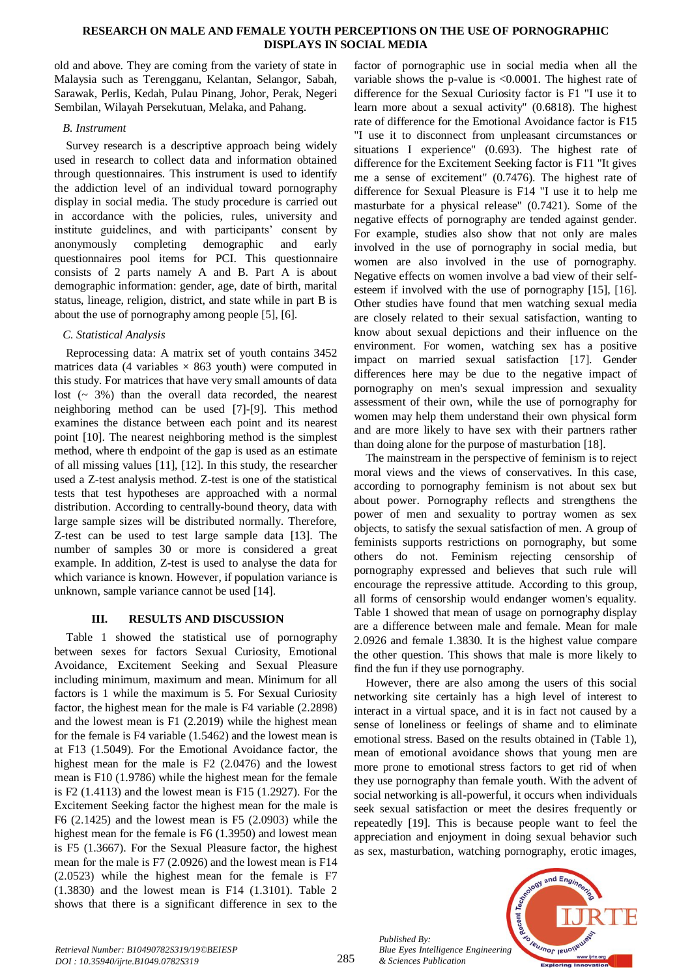## **RESEARCH ON MALE AND FEMALE YOUTH PERCEPTIONS ON THE USE OF PORNOGRAPHIC DISPLAYS IN SOCIAL MEDIA**

old and above. They are coming from the variety of state in Malaysia such as Terengganu, Kelantan, Selangor, Sabah, Sarawak, Perlis, Kedah, Pulau Pinang, Johor, Perak, Negeri Sembilan, Wilayah Persekutuan, Melaka, and Pahang.

## *B. Instrument*

Survey research is a descriptive approach being widely used in research to collect data and information obtained through questionnaires. This instrument is used to identify the addiction level of an individual toward pornography display in social media. The study procedure is carried out in accordance with the policies, rules, university and institute guidelines, and with participants' consent by anonymously completing demographic and early questionnaires pool items for PCI. This questionnaire consists of 2 parts namely A and B. Part A is about demographic information: gender, age, date of birth, marital status, lineage, religion, district, and state while in part B is about the use of pornography among people [5], [6].

# *C. Statistical Analysis*

Reprocessing data: A matrix set of youth contains 3452 matrices data (4 variables  $\times$  863 youth) were computed in this study. For matrices that have very small amounts of data lost  $($   $\sim$  3% $)$  than the overall data recorded, the nearest neighboring method can be used [7]-[9]. This method examines the distance between each point and its nearest point [10]. The nearest neighboring method is the simplest method, where th endpoint of the gap is used as an estimate of all missing values [11], [12]. In this study, the researcher used a Z-test analysis method. Z-test is one of the statistical tests that test hypotheses are approached with a normal distribution. According to centrally-bound theory, data with large sample sizes will be distributed normally. Therefore, Z-test can be used to test large sample data [13]. The number of samples 30 or more is considered a great example. In addition, Z-test is used to analyse the data for which variance is known. However, if population variance is unknown, sample variance cannot be used [14].

# **III. RESULTS AND DISCUSSION**

Table 1 showed the statistical use of pornography between sexes for factors Sexual Curiosity, Emotional Avoidance, Excitement Seeking and Sexual Pleasure including minimum, maximum and mean. Minimum for all factors is 1 while the maximum is 5. For Sexual Curiosity factor, the highest mean for the male is F4 variable (2.2898) and the lowest mean is F1 (2.2019) while the highest mean for the female is F4 variable (1.5462) and the lowest mean is at F13 (1.5049). For the Emotional Avoidance factor, the highest mean for the male is F2 (2.0476) and the lowest mean is F10 (1.9786) while the highest mean for the female is F2 (1.4113) and the lowest mean is F15 (1.2927). For the Excitement Seeking factor the highest mean for the male is F6 (2.1425) and the lowest mean is F5 (2.0903) while the highest mean for the female is F6 (1.3950) and lowest mean is F5 (1.3667). For the Sexual Pleasure factor, the highest mean for the male is F7 (2.0926) and the lowest mean is F14 (2.0523) while the highest mean for the female is F7 (1.3830) and the lowest mean is F14 (1.3101). Table 2 shows that there is a significant difference in sex to the

factor of pornographic use in social media when all the variable shows the p-value is <0.0001. The highest rate of difference for the Sexual Curiosity factor is F1 "I use it to learn more about a sexual activity" (0.6818). The highest rate of difference for the Emotional Avoidance factor is F15 "I use it to disconnect from unpleasant circumstances or situations I experience" (0.693). The highest rate of difference for the Excitement Seeking factor is F11 "It gives me a sense of excitement" (0.7476). The highest rate of difference for Sexual Pleasure is F14 "I use it to help me masturbate for a physical release" (0.7421). Some of the negative effects of pornography are tended against gender. For example, studies also show that not only are males involved in the use of pornography in social media, but women are also involved in the use of pornography. Negative effects on women involve a bad view of their selfesteem if involved with the use of pornography [15], [16]. Other studies have found that men watching sexual media are closely related to their sexual satisfaction, wanting to know about sexual depictions and their influence on the environment. For women, watching sex has a positive impact on married sexual satisfaction [17]. Gender differences here may be due to the negative impact of pornography on men's sexual impression and sexuality assessment of their own, while the use of pornography for women may help them understand their own physical form and are more likely to have sex with their partners rather than doing alone for the purpose of masturbation [18].

The mainstream in the perspective of feminism is to reject moral views and the views of conservatives. In this case, according to pornography feminism is not about sex but about power. Pornography reflects and strengthens the power of men and sexuality to portray women as sex objects, to satisfy the sexual satisfaction of men. A group of feminists supports restrictions on pornography, but some others do not. Feminism rejecting censorship of pornography expressed and believes that such rule will encourage the repressive attitude. According to this group, all forms of censorship would endanger women's equality. Table 1 showed that mean of usage on pornography display are a difference between male and female. Mean for male 2.0926 and female 1.3830. It is the highest value compare the other question. This shows that male is more likely to find the fun if they use pornography.

However, there are also among the users of this social networking site certainly has a high level of interest to interact in a virtual space, and it is in fact not caused by a sense of loneliness or feelings of shame and to eliminate emotional stress. Based on the results obtained in (Table 1), mean of emotional avoidance shows that young men are more prone to emotional stress factors to get rid of when they use pornography than female youth. With the advent of social networking is all-powerful, it occurs when individuals seek sexual satisfaction or meet the desires frequently or repeatedly [19]. This is because people want to feel the appreciation and enjoyment in doing sexual behavior such as sex, masturbation, watching pornography, erotic images,

*Published By: Blue Eyes Intelligence Engineering & Sciences Publication* 

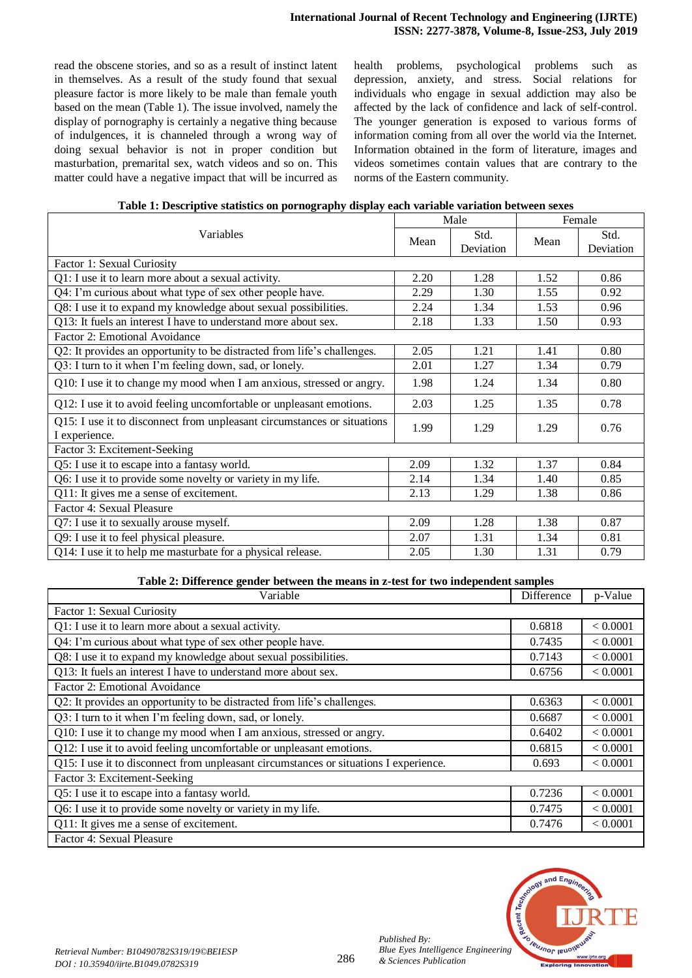read the obscene stories, and so as a result of instinct latent in themselves. As a result of the study found that sexual pleasure factor is more likely to be male than female youth based on the mean (Table 1). The issue involved, namely the display of pornography is certainly a negative thing because of indulgences, it is channeled through a wrong way of doing sexual behavior is not in proper condition but masturbation, premarital sex, watch videos and so on. This matter could have a negative impact that will be incurred as health problems, psychological problems such as depression, anxiety, and stress. Social relations for individuals who engage in sexual addiction may also be affected by the lack of confidence and lack of self-control. The younger generation is exposed to various forms of information coming from all over the world via the Internet. Information obtained in the form of literature, images and videos sometimes contain values that are contrary to the norms of the Eastern community.

|  | Table 1: Descriptive statistics on pornography display each variable variation between sexes |
|--|----------------------------------------------------------------------------------------------|
|  |                                                                                              |

| Variables                                                                                |      | Male              |      | Female            |  |
|------------------------------------------------------------------------------------------|------|-------------------|------|-------------------|--|
|                                                                                          |      | Std.<br>Deviation | Mean | Std.<br>Deviation |  |
| Factor 1: Sexual Curiosity                                                               |      |                   |      |                   |  |
| Q1: I use it to learn more about a sexual activity.                                      | 2.20 | 1.28              | 1.52 | 0.86              |  |
| Q4: I'm curious about what type of sex other people have.                                | 2.29 | 1.30              | 1.55 | 0.92              |  |
| Q8: I use it to expand my knowledge about sexual possibilities.                          | 2.24 | 1.34              | 1.53 | 0.96              |  |
| Q13: It fuels an interest I have to understand more about sex.                           | 2.18 | 1.33              | 1.50 | 0.93              |  |
| Factor 2: Emotional Avoidance                                                            |      |                   |      |                   |  |
| Q2: It provides an opportunity to be distracted from life's challenges.                  | 2.05 | 1.21              | 1.41 | 0.80              |  |
| Q3: I turn to it when I'm feeling down, sad, or lonely.                                  | 2.01 | 1.27              | 1.34 | 0.79              |  |
| Q10: I use it to change my mood when I am anxious, stressed or angry.                    | 1.98 | 1.24              | 1.34 | 0.80              |  |
| Q12: I use it to avoid feeling uncomfortable or unpleasant emotions.                     | 2.03 | 1.25              | 1.35 | 0.78              |  |
| Q15: I use it to disconnect from unpleasant circumstances or situations<br>I experience. | 1.99 | 1.29              | 1.29 | 0.76              |  |
| Factor 3: Excitement-Seeking                                                             |      |                   |      |                   |  |
| Q5: I use it to escape into a fantasy world.                                             | 2.09 | 1.32              | 1.37 | 0.84              |  |
| Q6: I use it to provide some novelty or variety in my life.                              | 2.14 | 1.34              | 1.40 | 0.85              |  |
| Q11: It gives me a sense of excitement.                                                  | 2.13 | 1.29              | 1.38 | 0.86              |  |
| Factor 4: Sexual Pleasure                                                                |      |                   |      |                   |  |
| Q7: I use it to sexually arouse myself.                                                  | 2.09 | 1.28              | 1.38 | 0.87              |  |
| Q9: I use it to feel physical pleasure.                                                  | 2.07 | 1.31              | 1.34 | 0.81              |  |
| Q14: I use it to help me masturbate for a physical release.                              | 2.05 | 1.30              | 1.31 | 0.79              |  |

#### **Table 2: Difference gender between the means in z-test for two independent samples**

| Variable                                                                              |        | p-Value  |
|---------------------------------------------------------------------------------------|--------|----------|
| Factor 1: Sexual Curiosity                                                            |        |          |
| Q1: I use it to learn more about a sexual activity.                                   | 0.6818 | < 0.0001 |
| Q4: I'm curious about what type of sex other people have.                             | 0.7435 | < 0.0001 |
| Q8: I use it to expand my knowledge about sexual possibilities.                       |        | < 0.0001 |
| Q13: It fuels an interest I have to understand more about sex.                        | 0.6756 | < 0.0001 |
| Factor 2: Emotional Avoidance                                                         |        |          |
| Q2: It provides an opportunity to be distracted from life's challenges.               |        | < 0.0001 |
| Q3: I turn to it when I'm feeling down, sad, or lonely.                               | 0.6687 | < 0.0001 |
| Q10: I use it to change my mood when I am anxious, stressed or angry.                 | 0.6402 | < 0.0001 |
| Q12: I use it to avoid feeling uncomfortable or unpleasant emotions.                  | 0.6815 | < 0.0001 |
| Q15: I use it to disconnect from unpleasant circumstances or situations I experience. |        | < 0.0001 |
| Factor 3: Excitement-Seeking                                                          |        |          |
| Q5: I use it to escape into a fantasy world.                                          | 0.7236 | < 0.0001 |
| Q6: I use it to provide some novelty or variety in my life.                           |        | < 0.0001 |
| Q11: It gives me a sense of excitement.                                               | 0.7476 | < 0.0001 |
| Factor 4: Sexual Pleasure                                                             |        |          |



*Published By:*

*& Sciences Publication*